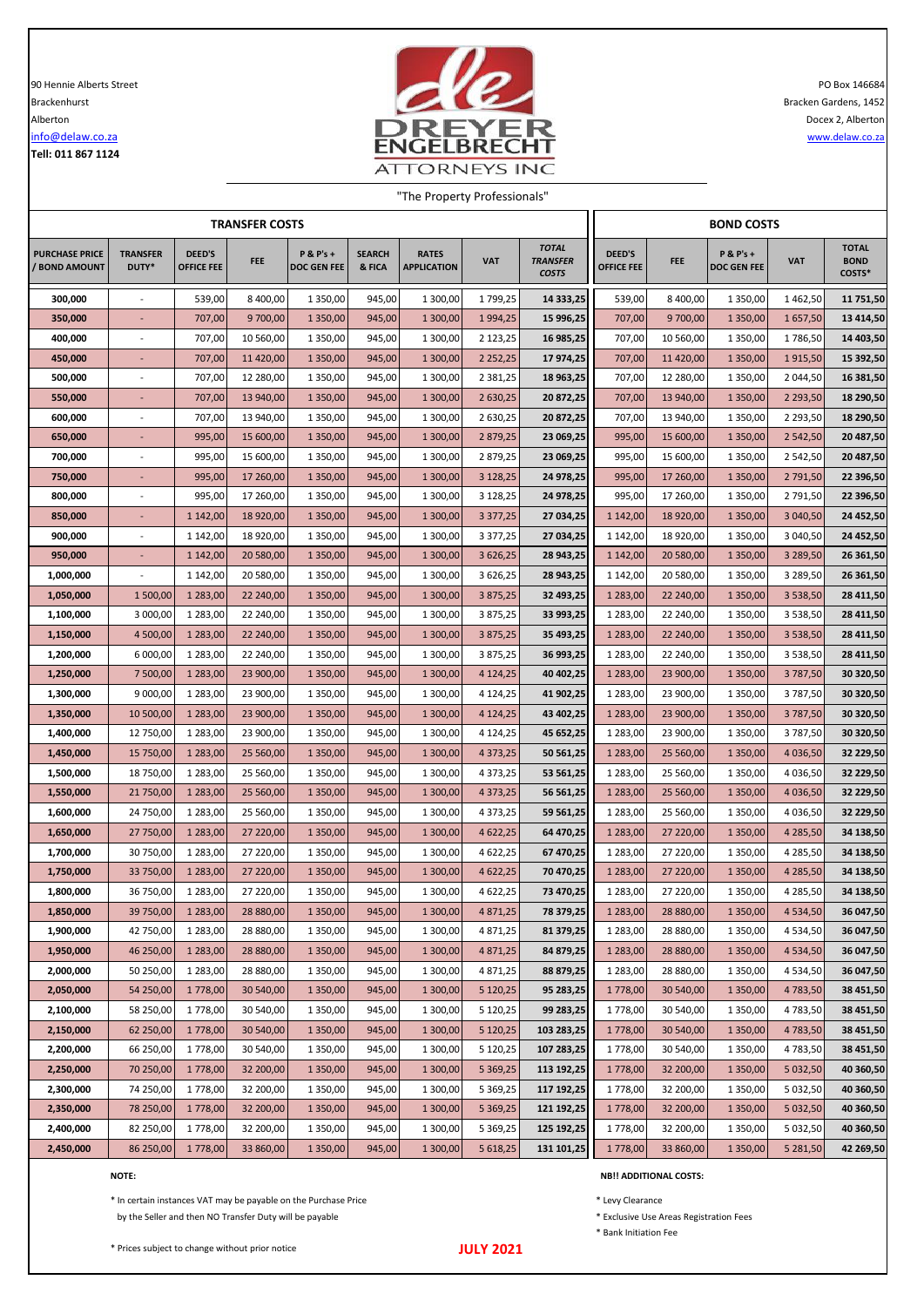**Tell: 011 867 1124**



"The Property Professionals"

| <b>TRANSFER COSTS</b>                  |                          |                                    |                        |                           |                         |                                    |                      |                                                 |                             | <b>BOND COSTS</b>      |                                     |                                |                                       |  |  |
|----------------------------------------|--------------------------|------------------------------------|------------------------|---------------------------|-------------------------|------------------------------------|----------------------|-------------------------------------------------|-----------------------------|------------------------|-------------------------------------|--------------------------------|---------------------------------------|--|--|
| <b>PURCHASE PRICE</b><br>/ BOND AMOUNT | <b>TRANSFER</b><br>DUTY* | <b>DEED'S</b><br><b>OFFICE FEE</b> | <b>FEE</b>             | P & P's +<br>DOC GEN FEE  | <b>SEARCH</b><br>& FICA | <b>RATES</b><br><b>APPLICATION</b> | <b>VAT</b>           | <b>TOTAL</b><br><b>TRANSFER</b><br><b>COSTS</b> | DEED'S<br><b>OFFICE FEE</b> | <b>FEE</b>             | $P$ & $P's +$<br><b>DOC GEN FEE</b> | <b>VAT</b>                     | <b>TOTAL</b><br><b>BOND</b><br>COSTS* |  |  |
| 300,000                                |                          | 539,00                             | 8 400,00               | 1 350,00                  | 945,00                  | 1 300,00                           | 1799,25              | 14 333,25                                       | 539,00                      | 8 400,00               | 1 3 5 0 , 0 0                       | 1462,50                        | 11 751,50                             |  |  |
| 350,000                                |                          | 707,00                             | 9 700,00               | 1 3 5 0 , 0 0             | 945,00                  | 1 300,00                           | 1 9 9 4 , 25         | 15 996,25                                       | 707,00                      | 9 700,00               | 1 3 5 0 ,00                         | 1657,50                        | 13 414,50                             |  |  |
| 400,000                                |                          | 707,00                             | 10 560,00              | 1 350,00                  | 945,00                  | 1 300,00                           | 2 123,25             | 16 985,25                                       | 707,00                      | 10 560,00              | 1 3 5 0 , 0 0                       | 1786,50                        | 14 403,50                             |  |  |
| 450,000                                |                          | 707,00                             | 11 420,00              | 1 3 5 0 , 0 0             | 945,00                  | 1 300,00                           | 2 2 5 2 , 2 5        | 17 974,25                                       | 707,00                      | 11 420,00              | 1 3 5 0 ,00                         | 1915,50                        | 15 392,50                             |  |  |
| 500,000                                | $\overline{\phantom{a}}$ | 707,00                             | 12 280,00              | 1 350,00                  | 945,00                  | 1 300,00                           | 2 3 8 1 , 2 5        | 18 963,25                                       | 707,00                      | 12 280,00              | 1 350,00                            | 2 044,50                       | 16 381,50                             |  |  |
| 550,000                                | $\overline{a}$           | 707,00                             | 13 940,00              | 1 3 5 0 , 0 0             | 945,00                  | 1 300,00                           | 2 630,25             | 20 872,25                                       | 707,00                      | 13 940,00              | 1 3 5 0 , 0 0                       | 2 2 9 3,50                     | 18 290,50                             |  |  |
| 600,000                                |                          | 707,00                             | 13 940,00              | 1 350,00                  | 945,00                  | 1 300,00                           | 2 630,25             | 20 872,25                                       | 707,00                      | 13 940,00              | 1 3 5 0 , 0 0                       | 2 2 9 3,50                     | 18 290,50                             |  |  |
| 650,000                                |                          | 995,00                             | 15 600,00              | 1 3 5 0 , 0 0             | 945,00                  | 1 300,00                           | 2 879,25             | 23 069,25                                       | 995,00                      | 15 600,00              | 1 3 5 0 , 0 0                       | 2 5 4 2,50                     | 20 487,50                             |  |  |
| 700,000                                |                          | 995,00                             | 15 600,00              | 1 350,00                  | 945,00                  | 1 300,00                           | 2 879,25             | 23 069,25                                       | 995,00                      | 15 600,00              | 1 3 5 0 , 0 0                       | 2 542,50                       | 20 487,50                             |  |  |
| 750,000                                |                          | 995,00                             | 17 260,00              | 1 3 5 0 , 0 0             | 945,00                  | 1 300,00                           | 3 128,25             | 24 978,25                                       | 995,00                      | 17 260,00              | 1 3 5 0 ,00                         | 2 791,50                       | 22 396,50                             |  |  |
| 800,000                                |                          | 995,00                             | 17 260,00              | 1 350,00                  | 945,00                  | 1 300,00                           | 3 128,25             | 24 978,25                                       | 995,00                      | 17 260,00              | 1 3 5 0 , 0 0                       | 2791,50                        | 22 396,50                             |  |  |
| 850,000<br>900,000                     | $\overline{\phantom{a}}$ | 1 142,00<br>1 142,00               | 18 920,00<br>18 920,00 | 1 3 5 0 , 0 0<br>1 350,00 | 945,00<br>945,00        | 1 300,00<br>1 300,00               | 3 377,25<br>3 377,25 | 27 034,25<br>27 034,25                          | 1 142,00<br>1 142,00        | 18 920,00<br>18 920,00 | 1 3 5 0 ,00<br>1 3 5 0 , 0 0        | 3 040,50<br>3 040,50           | 24 452,50<br>24 452,50                |  |  |
| 950,000                                | $\overline{\phantom{a}}$ | 1 142,00                           | 20 580,00              | 1 3 5 0 , 0 0             | 945,00                  | 1 300,00                           | 3 626,25             | 28 943,25                                       | 1 142,00                    | 20 580,00              | 1 3 5 0 ,00                         | 3 289,50                       | 26 361,50                             |  |  |
| 1,000,000                              |                          | 1 142,00                           | 20 580,00              | 1 350,00                  | 945,00                  | 1 300,00                           | 3 626,25             | 28 943,25                                       | 1 142,00                    | 20 580,00              | 1 3 5 0 , 0 0                       | 3 289,50                       | 26 361,50                             |  |  |
| 1,050,000                              | 1 500,00                 | 1 283,00                           | 22 240,00              | 1 3 5 0 , 0 0             | 945,00                  | 1 300,00                           | 3 875,25             | 32 493,25                                       | 1 283,00                    | 22 240,00              | 1 3 5 0 , 0 0                       | 3 5 3 8,50                     | 28 411,50                             |  |  |
| 1,100,000                              | 3 000,00                 | 1 283,00                           | 22 240,00              | 1 350,00                  | 945,00                  | 1 300,00                           | 3 875,25             | 33 993,25                                       | 1 283,00                    | 22 240,00              | 1 3 5 0 , 0 0                       | 3 5 3 8 , 5 0                  | 28 411,50                             |  |  |
| 1,150,000                              | 4 500,00                 | 1 2 8 3 , 0 0                      | 22 240,00              | 1 3 5 0 , 0 0             | 945,00                  | 1 300,00                           | 3 875,25             | 35 493,25                                       | 1 283,00                    | 22 240,00              | 1 3 5 0 , 0 0                       | 3 5 3 8 , 5 0                  | 28 411,50                             |  |  |
| 1,200,000                              | 6 000,00                 | 1 283,00                           | 22 240,00              | 1 350,00                  | 945,00                  | 1 300,00                           | 3 875,25             | 36 993,25                                       | 1 283,00                    | 22 240,00              | 1 3 5 0 , 0 0                       | 3 5 3 8,50                     | 28 411,50                             |  |  |
| 1,250,000                              | 7 500,00                 | 1 283,00                           | 23 900,00              | 1 3 5 0 , 0 0             | 945,00                  | 1 300,00                           | 4 124,25             | 40 402,25                                       | 1 283,00                    | 23 900,00              | 1 3 5 0 , 0 0                       | 3787,50                        | 30 320,50                             |  |  |
| 1,300,000                              | 9 000,00                 | 1 283,00                           | 23 900,00              | 1 350,00                  | 945,00                  | 1 300,00                           | 4 124,25             | 41 902,25                                       | 1 283,00                    | 23 900,00              | 1 3 5 0 , 0 0                       | 3787,50                        | 30 320,50                             |  |  |
| 1,350,000                              | 10 500,00                | 1 283,00                           | 23 900,00              | 1 3 5 0 , 0 0             | 945,00                  | 1 300,00                           | 4 124,25             | 43 402,25                                       | 1 283,00                    | 23 900,00              | 1 3 5 0 ,00                         | 3787,50                        | 30 320,50                             |  |  |
| 1,400,000                              | 12 750,00                | 1 283,00                           | 23 900,00              | 1 350,00                  | 945,00                  | 1 300,00                           | 4 124,25             | 45 652,25                                       | 1 283,00                    | 23 900,00              | 1 350,00                            | 3787,50                        | 30 320,50                             |  |  |
| 1,450,000                              | 15 750,00                | 1 2 8 3 , 0 0                      | 25 560,00              | 1 3 5 0 , 0 0             | 945,00                  | 1 300,00                           | 4 3 7 3 , 2 5        | 50 561,25                                       | 1 283,00                    | 25 560,00              | 1 3 5 0 , 0 0                       | 4 0 36,50                      | 32 229,50                             |  |  |
| 1,500,000                              | 18 750,00                | 1 283,00                           | 25 560,00              | 1 350,00                  | 945,00                  | 1 300,00                           | 4 373,25             | 53 561,25                                       | 1 283,00                    | 25 560,00              | 1 3 5 0 , 0 0                       | 4 0 36,50                      | 32 229,50                             |  |  |
| 1,550,000                              | 21 750,00                | 1 283,00                           | 25 560,00              | 1 3 5 0 , 0 0             | 945,00                  | 1 300,00                           | 4 3 7 3 , 2 5        | 56 561,25                                       | 1 283,00                    | 25 560,00              | 1 3 5 0 ,00                         | 4 0 36,50                      | 32 229,50                             |  |  |
| 1,600,000                              | 24 750,00                | 1 283,00                           | 25 560,00              | 1 350,00                  | 945,00                  | 1 300,00                           | 4 373,25             | 59 561,25                                       | 1 283,00                    | 25 560,00              | 1 3 5 0 , 0 0                       | 4 0 3 6,50                     | 32 229,50                             |  |  |
| 1,650,000                              | 27 750,00                | 1 283,00                           | 27 220,00              | 1 3 5 0 , 0 0             | 945,00                  | 1 300,00                           | 4 622,25             | 64 470,25                                       | 1 283,00                    | 27 220,00              | 1 350,00                            | 4 2 8 5,50                     | 34 138,50                             |  |  |
| 1,700,000                              | 30 750,00                | 1 283,00                           | 27 220,00              | 1 350,00                  | 945,00                  | 1 300,00                           | 4 622,25             | 67 470,25                                       | 1 283,00                    | 27 220,00              | 1 3 5 0 , 0 0                       | 4 285,50                       | 34 138,50                             |  |  |
| 1,750,000                              | 33 750,00                | 1 283,00                           | 27 220,00              | 1 3 5 0 , 0 0             | 945,00                  | 1 300,00                           | 4 622,25             | 70 470,25                                       | 1 283,00                    | 27 220,00              | 1 3 5 0 ,00                         | 4 285,50                       | 34 138,50                             |  |  |
| 1,800,000                              | 36 750,00                | 1 283,00                           | 27 220,00              | 1 350,00                  | 945,00                  | 1 300,00                           | 4 622,25             | 73 470,25                                       | 1 283,00                    | 27 220,00              | 1 3 5 0 , 0 0                       | 4 285,50                       | 34 138,50                             |  |  |
| 1,850,000                              | 39 750,00                | 1 2 8 3 , 0 0                      | 28 880,00              | 1 3 5 0 , 0 0             | 945,00                  | 1 300,00                           | 4 871,25             | 78 379,25                                       | 1283,00                     | 28 880,00              | 1 3 5 0 , 0 0                       | 4 5 3 4 , 5 0                  | 36 047,50                             |  |  |
| 1,900,000                              | 42 750,00                | 1 283,00<br>1 2 8 3 , 0 0          | 28 880,00<br>28 880,00 | 1 350,00                  | 945,00                  | 1 300,00                           | 4 871,25<br>4 871,25 | 81 379,25                                       | 1 283,00                    | 28 880,00              | 1 3 5 0 , 0 0<br>1 3 5 0 , 0 0      | 4 5 3 4 , 5 0                  | 36 047,50                             |  |  |
| 1,950,000<br>2,000,000                 | 46 250,00<br>50 250,00   | 1 283,00                           | 28 880,00              | 1 350,00<br>1 350,00      | 945,00<br>945,00        | 1 300,00<br>1 300,00               | 4 871,25             | 84 879,25<br>88 879,25                          | 1 283,00<br>1 283,00        | 28 880,00<br>28 880,00 | 1 3 5 0 , 0 0                       | 4 5 3 4 , 5 0<br>4 5 3 4 , 5 0 | 36 047,50<br>36 047,50                |  |  |
| 2,050,000                              | 54 250,00                | 1778,00                            | 30 540,00              | 1 3 5 0 , 0 0             | 945,00                  | 1 300,00                           | 5 120,25             | 95 283,25                                       | 1 778,00                    | 30 540,00              | 1 3 5 0 , 0 0                       | 4783,50                        | 38 451,50                             |  |  |
| 2,100,000                              | 58 250,00                | 1778,00                            | 30 540,00              | 1 350,00                  | 945,00                  | 1 300,00                           | 5 120,25             | 99 283,25                                       | 1778,00                     | 30 540,00              | 1 3 5 0 , 0 0                       | 4783,50                        | 38 451,50                             |  |  |
| 2,150,000                              | 62 250,00                | 1778,00                            | 30 540,00              | 1 3 5 0 , 0 0             | 945,00                  | 1 300,00                           | 5 120,25             | 103 283,25                                      | 1778,00                     | 30 540,00              | 1 3 5 0 , 0 0                       | 4783,50                        | 38 451,50                             |  |  |
| 2,200,000                              | 66 250,00                | 1778,00                            | 30 540,00              | 1 350,00                  | 945,00                  | 1 300,00                           | 5 120,25             | 107 283,25                                      | 1 778,00                    | 30 540,00              | 1 3 5 0 , 0 0                       | 4783,50                        | 38 451,50                             |  |  |
| 2,250,000                              | 70 250,00                | 1778,00                            | 32 200,00              | 1 3 5 0 , 0 0             | 945,00                  | 1 300,00                           | 5 3 69, 25           | 113 192,25                                      | 1 778,00                    | 32 200,00              | 1 3 5 0 , 0 0                       | 5 032,50                       | 40 360,50                             |  |  |
| 2,300,000                              | 74 250,00                | 1778,00                            | 32 200,00              | 1 350,00                  | 945,00                  | 1 300,00                           | 5 369,25             | 117 192,25                                      | 1 778,00                    | 32 200,00              | 1 3 5 0 , 0 0                       | 5 032,50                       | 40 360,50                             |  |  |
| 2,350,000                              | 78 250,00                | 1778,00                            | 32 200,00              | 1 3 5 0 , 0 0             | 945,00                  | 1 300,00                           | 5 3 69, 25           | 121 192,25                                      | 1778,00                     | 32 200,00              | 1 3 5 0 , 0 0                       | 5 032,50                       | 40 360,50                             |  |  |
| 2,400,000                              | 82 250,00                | 1778,00                            | 32 200,00              | 1 350,00                  | 945,00                  | 1 300,00                           | 5 369,25             | 125 192,25                                      | 1 778,00                    | 32 200,00              | 1 3 5 0 , 0 0                       | 5 032,50                       | 40 360,50                             |  |  |
| 2,450,000                              | 86 250,00                | 1778,00                            | 33 860,00              | 1 3 5 0 , 0 0             | 945,00                  | 1 300,00                           | 5 618,25             | 131 101,25                                      | 1 778,00                    | 33 860,00              | 1 3 5 0 , 0 0                       | 5 281,50                       | 42 269,50                             |  |  |

\* In certain instances VAT may be payable on the Purchase Price \* Levy Clearance by the Seller and then NO Transfer Duty will be payable  $*$  Exclusive Use Areas Registration Fees

**NOTE: NB!! ADDITIONAL COSTS:**

\* Bank Initiation Fee

\* Prices subject to change without prior notice

## **JULY 2021**